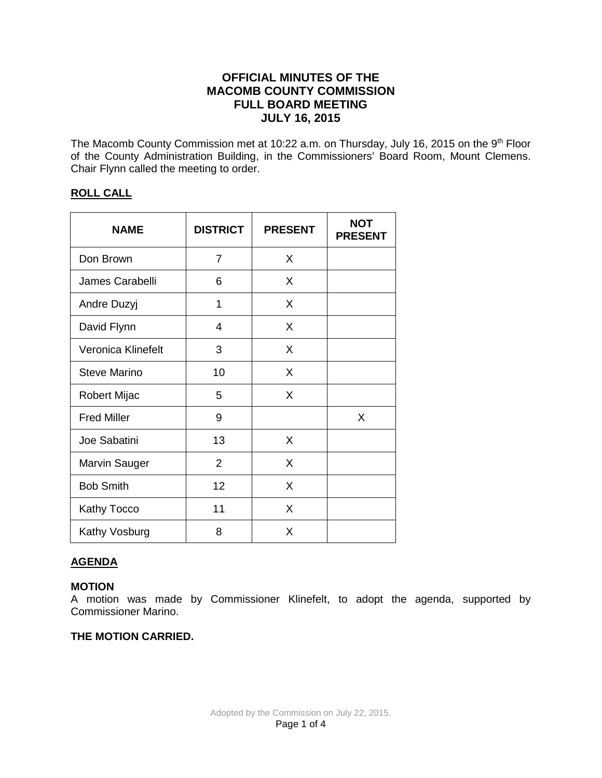# **OFFICIAL MINUTES OF THE MACOMB COUNTY COMMISSION FULL BOARD MEETING JULY 16, 2015**

The Macomb County Commission met at 10:22 a.m. on Thursday, July 16, 2015 on the 9<sup>th</sup> Floor of the County Administration Building, in the Commissioners' Board Room, Mount Clemens. Chair Flynn called the meeting to order.

# **ROLL CALL**

| <b>NAME</b>          | <b>DISTRICT</b> | <b>PRESENT</b> | <b>NOT</b><br><b>PRESENT</b> |
|----------------------|-----------------|----------------|------------------------------|
| Don Brown            | 7               | X              |                              |
| James Carabelli      | 6               | X              |                              |
| Andre Duzyj          | 1               | X              |                              |
| David Flynn          | 4               | X              |                              |
| Veronica Klinefelt   | 3               | X              |                              |
| <b>Steve Marino</b>  | 10              | X              |                              |
| Robert Mijac         | 5               | X              |                              |
| <b>Fred Miller</b>   | 9               |                | X                            |
| Joe Sabatini         | 13              | X              |                              |
| <b>Marvin Sauger</b> | $\overline{2}$  | X              |                              |
| <b>Bob Smith</b>     | 12              | X              |                              |
| <b>Kathy Tocco</b>   | 11              | X              |                              |
| Kathy Vosburg        | 8               | X              |                              |

# **AGENDA**

# **MOTION**

A motion was made by Commissioner Klinefelt, to adopt the agenda, supported by Commissioner Marino.

## **THE MOTION CARRIED.**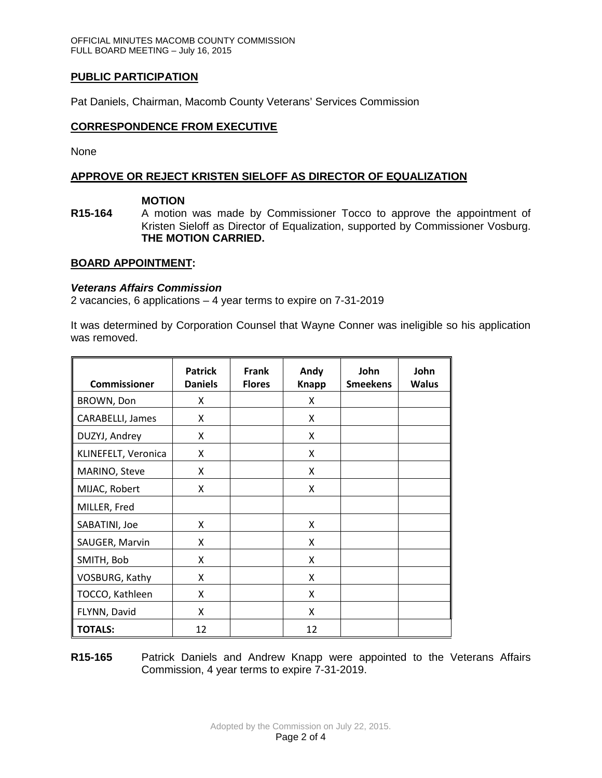# **PUBLIC PARTICIPATION**

Pat Daniels, Chairman, Macomb County Veterans' Services Commission

## **CORRESPONDENCE FROM EXECUTIVE**

None

## **APPROVE OR REJECT KRISTEN SIELOFF AS DIRECTOR OF EQUALIZATION**

### **MOTION**

**R15-164** A motion was made by Commissioner Tocco to approve the appointment of Kristen Sieloff as Director of Equalization, supported by Commissioner Vosburg. **THE MOTION CARRIED.**

### **BOARD APPOINTMENT:**

### *Veterans Affairs Commission*

2 vacancies, 6 applications – 4 year terms to expire on 7-31-2019

It was determined by Corporation Counsel that Wayne Conner was ineligible so his application was removed.

| <b>Commissioner</b> | <b>Patrick</b><br><b>Daniels</b> | <b>Frank</b><br><b>Flores</b> | Andy<br><b>Knapp</b> | John<br><b>Smeekens</b> | John<br><b>Walus</b> |
|---------------------|----------------------------------|-------------------------------|----------------------|-------------------------|----------------------|
| BROWN, Don          | X                                |                               | X                    |                         |                      |
| CARABELLI, James    | X                                |                               | X                    |                         |                      |
| DUZYJ, Andrey       | X                                |                               | X                    |                         |                      |
| KLINEFELT, Veronica | X                                |                               | X                    |                         |                      |
| MARINO, Steve       | X                                |                               | X                    |                         |                      |
| MIJAC, Robert       | X                                |                               | X                    |                         |                      |
| MILLER, Fred        |                                  |                               |                      |                         |                      |
| SABATINI, Joe       | X                                |                               | X                    |                         |                      |
| SAUGER, Marvin      | X                                |                               | X                    |                         |                      |
| SMITH, Bob          | X                                |                               | X                    |                         |                      |
| VOSBURG, Kathy      | X                                |                               | X                    |                         |                      |
| TOCCO, Kathleen     | X                                |                               | X                    |                         |                      |
| FLYNN, David        | X                                |                               | X                    |                         |                      |
| <b>TOTALS:</b>      | 12                               |                               | 12                   |                         |                      |

**R15-165** Patrick Daniels and Andrew Knapp were appointed to the Veterans Affairs Commission, 4 year terms to expire 7-31-2019.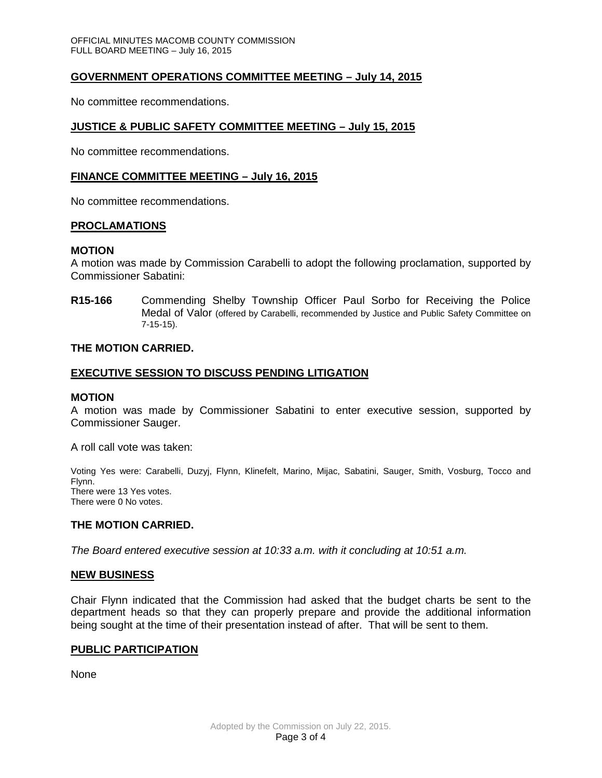## **GOVERNMENT OPERATIONS COMMITTEE MEETING – July 14, 2015**

No committee recommendations.

## **JUSTICE & PUBLIC SAFETY COMMITTEE MEETING – July 15, 2015**

No committee recommendations.

### **FINANCE COMMITTEE MEETING – July 16, 2015**

No committee recommendations.

#### **PROCLAMATIONS**

#### **MOTION**

A motion was made by Commission Carabelli to adopt the following proclamation, supported by Commissioner Sabatini:

**R15-166** Commending Shelby Township Officer Paul Sorbo for Receiving the Police Medal of Valor (offered by Carabelli, recommended by Justice and Public Safety Committee on 7-15-15).

### **THE MOTION CARRIED.**

### **EXECUTIVE SESSION TO DISCUSS PENDING LITIGATION**

#### **MOTION**

A motion was made by Commissioner Sabatini to enter executive session, supported by Commissioner Sauger.

A roll call vote was taken:

Voting Yes were: Carabelli, Duzyj, Flynn, Klinefelt, Marino, Mijac, Sabatini, Sauger, Smith, Vosburg, Tocco and Flynn. There were 13 Yes votes. There were 0 No votes.

### **THE MOTION CARRIED.**

*The Board entered executive session at 10:33 a.m. with it concluding at 10:51 a.m.*

#### **NEW BUSINESS**

Chair Flynn indicated that the Commission had asked that the budget charts be sent to the department heads so that they can properly prepare and provide the additional information being sought at the time of their presentation instead of after. That will be sent to them.

#### **PUBLIC PARTICIPATION**

None